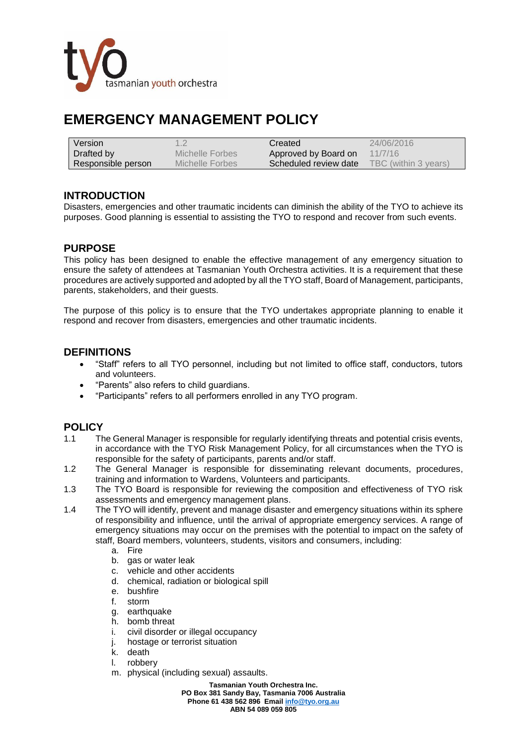

# **EMERGENCY MANAGEMENT POLICY**

| Version            | 1.2             | Created                 | 24/06/2016           |
|--------------------|-----------------|-------------------------|----------------------|
| Drafted by         | Michelle Forbes | Approved by Board on    | 11/7/16              |
| Responsible person | Michelle Forbes | ∖ Scheduled review date | TBC (within 3 years) |

### **INTRODUCTION**

Disasters, emergencies and other traumatic incidents can diminish the ability of the TYO to achieve its purposes. Good planning is essential to assisting the TYO to respond and recover from such events.

#### **PURPOSE**

This policy has been designed to enable the effective management of any emergency situation to ensure the safety of attendees at Tasmanian Youth Orchestra activities. It is a requirement that these procedures are actively supported and adopted by all the TYO staff, Board of Management, participants, parents, stakeholders, and their guests.

The purpose of this policy is to ensure that the TYO undertakes appropriate planning to enable it respond and recover from disasters, emergencies and other traumatic incidents.

#### **DEFINITIONS**

- "Staff" refers to all TYO personnel, including but not limited to office staff, conductors, tutors and volunteers.
- "Parents" also refers to child guardians.
- "Participants" refers to all performers enrolled in any TYO program.

## **POLICY**

- 1.1 The General Manager is responsible for regularly identifying threats and potential crisis events, in accordance with the TYO Risk Management Policy, for all circumstances when the TYO is responsible for the safety of participants, parents and/or staff.
- 1.2 The General Manager is responsible for disseminating relevant documents, procedures, training and information to Wardens, Volunteers and participants.
- 1.3 The TYO Board is responsible for reviewing the composition and effectiveness of TYO risk assessments and emergency management plans.
- 1.4 The TYO will identify, prevent and manage disaster and emergency situations within its sphere of responsibility and influence, until the arrival of appropriate emergency services. A range of emergency situations may occur on the premises with the potential to impact on the safety of staff, Board members, volunteers, students, visitors and consumers, including:
	- a. Fire
	- b. gas or water leak
	- c. vehicle and other accidents
	- d. chemical, radiation or biological spill
	- e. bushfire
	- f. storm
	- g. earthquake
	- h. bomb threat
	- i. civil disorder or illegal occupancy
	- j. hostage or terrorist situation
	- k. death
	- l. robbery
	- m. physical (including sexual) assaults.

**Tasmanian Youth Orchestra Inc. PO Box 381 Sandy Bay, Tasmania 7006 Australia Phone 61 438 562 896 Emai[l info@tyo.org.au](mailto:info@tyo.org.au) ABN 54 089 059 805**